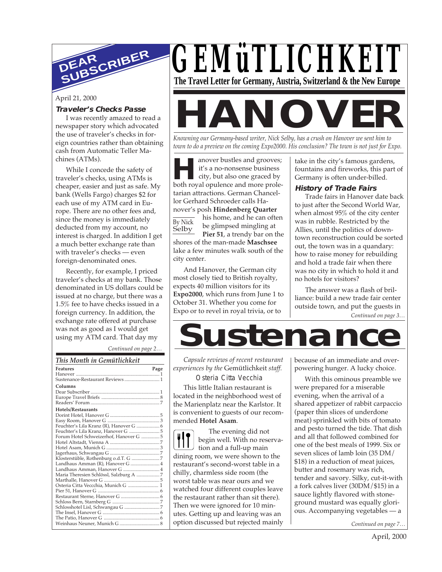

April 21, 2000

#### **Traveler's Checks Passe**

I was recently amazed to read a newspaper story which advocated the use of traveler's checks in foreign countries rather than obtaining cash from Automatic Teller Machines (ATMs).

While I concede the safety of traveler's checks, using ATMs is cheaper, easier and just as safe. My bank (Wells Fargo) charges \$2 for each use of my ATM card in Europe. There are no other fees and, since the money is immediately deducted from my account, no interest is charged. In addition I get a much better exchange rate than with traveler's checks — even foreign-denominated ones.

Recently, for example, I priced traveler's checks at my bank. Those denominated in US dollars could be issued at no charge, but there was a 1.5% fee to have checks issued in a foreign currency. In addition, the exchange rate offered at purchase was not as good as I would get using my ATM card. That day my

*Continued on page 2…*

### *GEMüTLICHKEIT* **The Travel Letter for Germany, Austria, Switzerland & the New Europe**

# **HANOVER**

*Knowning our Germany-based writer, Nick Selby, has a crush on Hanover we sent him to town to do a preview on the coming Expo2000. His conclusion? The town is not just for Expo.*

anover bustles and grooves;<br>it's a no-nonsense business<br>city, but also one graced by<br>both royal opulence and more prole-By Nick Selby anover bustles and grooves; it's a no-nonsense business city, but also one graced by tarian attractions. German Chancellor Gerhard Schroeder calls Hanover's posh **Hindenberg Quarter** his home, and he can often be glimpsed mingling at Pier 51, a trendy bar on the shores of the man-made **Maschsee** lake a few minutes walk south of the city center.

And Hanover, the German city most closely tied to British royalty, expects 40 million visitors for its **Expo2000**, which runs from June 1 to October 31. Whether you come for Expo or to revel in royal trivia, or to

take in the city's famous gardens, fountains and fireworks, this part of Germany is often under-billed.

#### **History of Trade Fairs**

Trade fairs in Hanover date back to just after the Second World War, when almost 95% of the city center was in rubble. Restricted by the Allies, until the politics of downtown reconstruction could be sorted out, the town was in a quandary: how to raise money for rebuilding and hold a trade fair when there was no city in which to hold it and no hotels for visitors?

*Continued on page 3…* The answer was a flash of brilliance: build a new trade fair center outside town, and put the guests in

**Sustenance**

*Capsule reviews of recent restaurant experiences by the* Gemütlichkeit *staff.*

Osteria Citta Vecchia

This little Italian restaurant is located in the neighborhood west of the Marienplatz near the Karlstor. It is convenient to guests of our recommended **Hotel Asam**.

The evening did not begin well. With no reservation and a full-up main dining room, we were shown to the restaurant's second-worst table in a chilly, charmless side room (the worst table was near ours and we watched four different couples leave the restaurant rather than sit there). Then we were ignored for 10 minutes. Getting up and leaving was an option discussed but rejected mainly because of an immediate and overpowering hunger. A lucky choice.

With this ominous preamble we were prepared for a miserable evening, when the arrival of a shared appetizer of rabbit carpaccio (paper thin slices of underdone meat) sprinkled with bits of tomato and pesto turned the tide. That dish and all that followed combined for one of the best meals of 1999. Six or seven slices of lamb loin (35 DM/ \$18) in a reduction of meat juices, butter and rosemary was rich, tender and savory. Silky, cut-it-with a fork calves liver (30DM/\$15) in a sauce lightly flavored with stoneground mustard was equally glorious. Accompanying vegetables — a

*Continued on page 7…*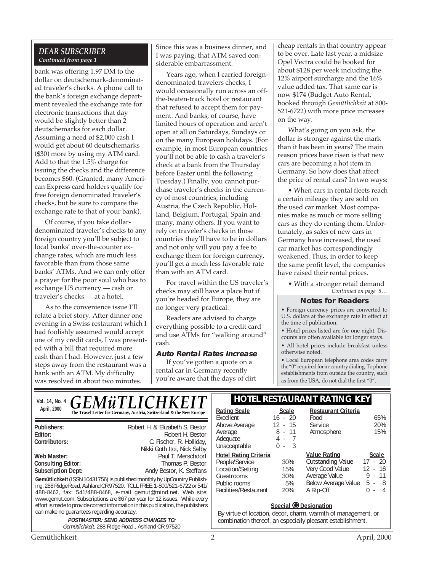#### *DEAR SUBSCRIBER Continued from page 1*

bank was offering 1.97 DM to the dollar on deutschemark-denominated traveler's checks. A phone call to the bank's foreign exchange department revealed the exchange rate for electronic transactions that day would be slightly better than 2 deutschemarks for each dollar. Assuming a need of \$2,000 cash I would get about 60 deutschemarks (\$30) more by using my ATM card. Add to that the 1.5% charge for issuing the checks and the difference becomes \$60. (Granted, many American Express card holders qualify for free foreign denominated traveler's checks, but be sure to compare the exchange rate to that of your bank).

Of course, if you take dollardenominated traveler's checks to any foreign country you'll be subject to local banks' over-the-counter exchange rates, which are much less favorable than from those same banks' ATMs. And we can only offer a prayer for the poor soul who has to exchange US currency — cash or traveler's checks — at a hotel.

As to the convenience issue I'll relate a brief story. After dinner one evening in a Swiss restaurant which I had foolishly assumed would accept one of my credit cards, I was presented with a bill that required more cash than I had. However, just a few steps away from the restaurant was a bank with an ATM. My difficulty was resolved in about two minutes.

Since this was a business dinner, and I was paying, that ATM saved considerable embarrassment.

Years ago, when I carried foreigndenominated travelers checks, I would occasionally run across an offthe-beaten-track hotel or restaurant that refused to accept them for payment. And banks, of course, have limited hours of operation and aren't open at all on Saturdays, Sundays or on the many European holidays. (For example, in most European countries you'll not be able to cash a traveler's check at a bank from the Thursday before Easter until the following Tuesday.) Finally, you cannot purchase traveler's checks in the currency of most countries, including Austria, the Czech Republic, Holland, Belgium, Portugal, Spain and many, many others. If you want to rely on traveler's checks in those countries they'll have to be in dollars and not only will you pay a fee to exchange them for foreign currency, you'll get a much less favorable rate than with an ATM card.

For travel within the US traveler's checks may still have a place but if you're headed for Europe, they are no longer very practical.

Readers are advised to charge everything possible to a credit card and use ATMs for "walking around" cash.

#### **Auto Rental Rates Increase**

If you've gotten a quote on a rental car in Germany recently you're aware that the days of dirt cheap rentals in that country appear to be over. Late last year, a midsize Opel Vectra could be booked for about \$128 per week including the 12% airport surcharge and the 16% value added tax. That same car is now \$174 (Budget Auto Rental, booked through *Gemütlichkeit* at 800- 521-6722) with more price increases on the way.

What's going on you ask, the dollar is stronger against the mark than it has been in years? The main reason prices have risen is that new cars are becoming a hot item in Germany. So how does that affect the price of rental cars? In two ways:

• When cars in rental fleets reach a certain mileage they are sold on the used car market. Most companies make as much or more selling cars as they do renting them. Unfortunately, as sales of new cars in Germany have increased, the used car market has correspondingly weakened. Thus, in order to keep the same profit level, the companies have raised their rental prices.

> • With a stronger retail demand *Continued on page 8…*

#### **Notes for Readers**

• Foreign currency prices are converted to U.S. dollars at the exchange rate in effect at the time of publication.

• Hotel prices listed are for one night. Discounts are often available for longer stays.

• All hotel prices include breakfast unless otherwise noted.

• Local European telephone area codes carry the "0" required for in-country dialing. To phone establishments from outside the country, such as from the USA, do not dial the first "0".

**Restaurant Criteria**

Atmosphere

**Outstanding Value** 

Average Value

Food 65%<br>Service 20% Service 20%<br>Atmosphere 15%

**Value Rating Scale**

Very Good Value 12 - 16<br>Average Value 9 - 11

Below Average Value 5 - 8 A Rip-Off 0 - 4

| <i><b>GEMÜTLICHKEIT</b></i><br>Vol. 14, No. 4                                                                                                                                                                                                                                                                                                                                                                                                                                                                                                                                                                                                                                           |                                                                                                                | HOIEL RESIAURANI RA                                                                                                                                                                                                          |                                                             |                                                                                                                   |
|-----------------------------------------------------------------------------------------------------------------------------------------------------------------------------------------------------------------------------------------------------------------------------------------------------------------------------------------------------------------------------------------------------------------------------------------------------------------------------------------------------------------------------------------------------------------------------------------------------------------------------------------------------------------------------------------|----------------------------------------------------------------------------------------------------------------|------------------------------------------------------------------------------------------------------------------------------------------------------------------------------------------------------------------------------|-------------------------------------------------------------|-------------------------------------------------------------------------------------------------------------------|
| April, 2000                                                                                                                                                                                                                                                                                                                                                                                                                                                                                                                                                                                                                                                                             | The Travel Letter for Germany, Austria, Switzerland & the New Europe                                           | <b>Rating Scale</b><br>Excellent                                                                                                                                                                                             | <b>Scale</b><br>$16 - 20$                                   | Restaura<br>Food                                                                                                  |
| Publishers:<br>Editor:<br>Contributors:                                                                                                                                                                                                                                                                                                                                                                                                                                                                                                                                                                                                                                                 | Robert H. & Elizabeth S. Bestor<br>Robert H. Bestor<br>C. Fischer, R. Holliday,<br>Nikki Goth Itoi, Nick Selby | Above Average<br>Average<br>Adequate<br>Unacceptable                                                                                                                                                                         | $12 - 15$<br>$8 - 11$<br>4 -<br>$\overline{7}$<br>$-3$<br>0 | Service<br>Atmosph                                                                                                |
| Paul T. Merschdorf<br>Web Master:<br><b>Consulting Editor:</b><br>Thomas P. Bestor<br><b>Subscription Dept:</b><br>Andy Bestor, K. Steffans<br>Gemütlichkeit (ISSN 10431756) is published monthly by UpCountry Publish-<br>ing, 288 Ridge Road, Ashland OR 97520. TOLL FREE: 1-800/521-6722 or 541/<br>488-8462, fax: 541/488-8468, e-mail gemut@mind.net. Web site:<br>www.gemut.com. Subscriptions are \$67 per year for 12 issues. While every<br>effort is made to provide correct information in this publication, the publishers<br>can make no quarantees regarding accuracy.<br><b>POSTMASTER: SEND ADDRESS CHANGES TO:</b><br>Gemütlichkeit, 288 Ridge Road., Ashland OR 97520 |                                                                                                                | <b>Hotel Rating Criteria</b><br>People/Service<br>Location/Setting<br>Guestrooms<br>Public rooms<br>Facilities/Restaurant<br>By virtue of location, decor, charm, warmth of<br>combination thereof, an especially pleasant e | 30%<br>15%<br>30%<br>5%<br>20%                              | <b>Value Rat</b><br>Outstandi<br>Very Good<br>Average V<br><b>Below Ave</b><br>A Rip-Off<br>Special @ Designation |

#### **VAURANT RATING KEY**

| $o$                                                           |
|---------------------------------------------------------------|
| By virtue of location, decor, charm, warmth of management, or |
| combination thereof, an especially pleasant establishment.    |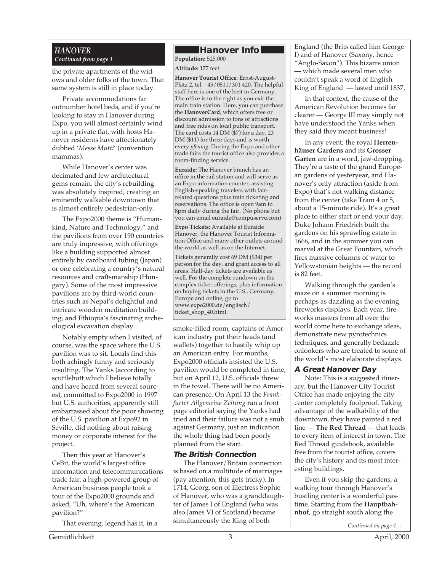#### *HANOVER Continued from page 1*

the private apartments of the widows and older folks of the town. That same system is still in place today.

Private accommodations far outnumber hotel beds, and if you're looking to stay in Hanover during Expo, you will almost certainly wind up in a private flat, with hosts Hanover residents have affectionately dubbed '*Messe Mutti*' (convention mammas).

While Hanover's center was decimated and few architectural gems remain, the city's rebuilding was absolutely inspired, creating an eminently walkable downtown that is almost entirely pedestrian-only.

The Expo2000 theme is "Humankind, Nature and Technology," and the pavilions from over 190 countries are truly impressive, with offerings like a building supported almost entirely by cardboard tubing (Japan) or one celebrating a country's natural resources and craftsmanship (Hungary). Some of the most impressive pavilions are by third-world countries such as Nepal's delightful and intricate wooden meditation building, and Ethiopia's fascinating archeological excavation display.

Notably empty when I visited, of course, was the space where the U.S. pavilion was to sit. Locals find this both achingly funny and seriously insulting. The Yanks (according to scuttlebutt which I believe totally and have heard from several sources), committed to Expo2000 in 1997 but U.S. authorities, apparently still embarrassed about the poor showing of the U.S. pavilion at Expo92 in Seville, did nothing about raising money or corporate interest for the project.

Then this year at Hanover's CeBit, the world's largest office information and telecommunications trade fair, a high-powered group of American business people took a tour of the Expo2000 grounds and asked, "Uh, where's the American pavilion?"

That evening, legend has it, in a

#### **Hanover Info**

**Population:** 525,000

**Altitude:** 177 feet

**Hanover Tourist Office**: Ernst-August-Platz 2, tel. +49/0511/301 420. The helpful staff here is one of the best in Germany. The office is to the right as you exit the main train station. Here, you can purchase the **HanoverCard**, which offers free or discount admission to tons of attractions and free rides on local public transport. The card costs 14 DM (\$7) for a day, 23 DM (\$11) for three days and is worth every *pfennig*. During the Expo and other trade fairs the tourist office also provides a room-finding service.

**Euraide:** The Hanover branch has an office in the rail station and will serve as an Expo information counter, assisting English-speaking travelers with fairrelated questions plus train ticketing and reservations. The office is open 9am to 8pm daily during the fair. (No phone but you can email euraide@compuserve.com)

**Expo Tickets:** Available at Euraide Hanover, the Hanover Tourist Information Office and many other outlets around the world as well as on the Internet.

Tickets generally cost 69 DM (\$34) per person for the day, and grant access to all areas. Half-day tickets are available as well. For the complete rundown on the complex ticket offerings, plus information on buying tickets in the U.S., Germany, Europe and online, go to www.expo2000.de/englisch/ ticket\_shop\_40.html.

smoke-filled room, captains of American industry put their heads (and wallets) together to hastily whip up an American entry. For months, Expo2000 officials insisted the U.S. pavilion would be completed in time, but on April 12, U.S. officials threw in the towel. There will be no American presence. On April 13 the *Frankfurter Allgemeine Zeitung* ran a front page editorial saying the Yanks had tried and their failure was not a snub against Germany, just an indication the whole thing had been poorly planned from the start.

#### **The British Connection**

The Hanover/Britain connection is based on a multitude of marriages (pay attention, this gets tricky). In 1714, Georg, son of Electress Sophie of Hanover, who was a granddaughter of James I of England (who was also James VI of Scotland) became simultaneously the King of both

England (the Brits called him George I) and of Hanover (Saxony, hence "Anglo-Saxon"). This bizarre union — which made several men who couldn't speak a word of English King of England — lasted until 1837.

In that context, the cause of the American Revolution becomes far clearer — George III may simply not have understood the Yanks when they said they meant business!

In any event, the royal **Herrenhäuser Gardens** and its **Grosser Garten** are in a word, jaw-dropping. They're a taste of the grand European gardens of yesteryear, and Hanover's only attraction (aside from Expo) that's not walking distance from the center (take Tram 4 or 5, about a 15-minute ride). It's a great place to either start or end your day. Duke Johann Friedrich built the gardens on his sprawling estate in 1666, and in the summer you can marvel at the Great Fountain, which fires massive columns of water to Yellowstonian heights — the record is 82 feet.

Walking through the garden's maze on a summer morning is perhaps as dazzling as the evening fireworks displays. Each year, fireworks masters from all over the world come here to exchange ideas, demonstrate new pyrotechnics techniques, and generally bedazzle onlookers who are treated to some of the world's most elaborate displays.

#### **A Great Hanover Day**

Note: This is a suggested itinerary, but the Hanover City Tourist Office has made enjoying the city center completely foolproof. Taking advantage of the walkability of the downtown, they have painted a red line — **The Red Thread** — that leads to every item of interest in town. The Red Thread guidebook, available free from the tourist office, covers the city's history and its most interesting buildings.

Even if you skip the gardens, a walking tour through Hanover's bustling center is a wonderful pastime. Starting from the **Hauptbahnhof**, go straight south along the

*Continued on page 4…*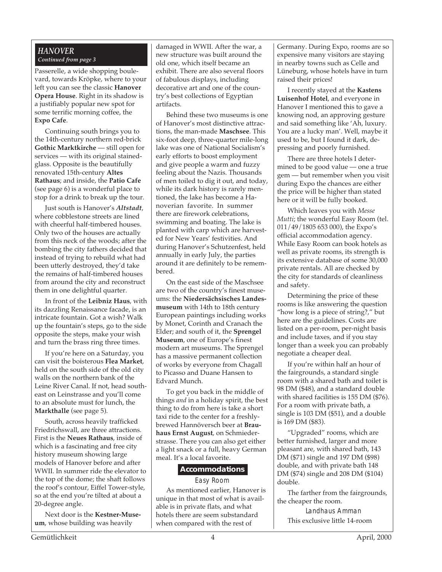#### *HANOVER Continued from page 3*

Passerelle, a wide shopping boulevard, towards Kröpke, where to your left you can see the classic **Hanover Opera House**. Right in its shadow is a justifiably popular new spot for some terrific morning coffee, the **Expo Cafe**.

Continuing south brings you to the 14th-century northern red-brick **Gothic Marktkirche** — still open for services — with its original stainedglass. Opposite is the beautifully renovated 15th-century **Altes Rathaus**; and inside, the **Patio Cafe** (see page 6) is a wonderful place to stop for a drink to break up the tour.

Just south is Hanover's *Altstadt*, where cobblestone streets are lined with cheerful half-timbered houses. Only two of the houses are actually from this neck of the woods; after the bombing the city fathers decided that instead of trying to rebuild what had been utterly destroyed, they'd take the remains of half-timbered houses from around the city and reconstruct them in one delightful quarter.

In front of the **Leibniz Haus**, with its dazzling Renaissance facade, is an intricate fountain. Got a wish? Walk up the fountain's steps, go to the side opposite the steps, make your wish and turn the brass ring three times.

If you're here on a Saturday, you can visit the boisterous **Flea Market**, held on the south side of the old city walls on the northern bank of the Leine River Canal. If not, head southeast on Leinstrasse and you'll come to an absolute must for lunch, the **Markthalle** (see page 5).

South, across heavily trafficked Friedrichswall, are three attractions. First is the **Neues Rathaus**, inside of which is a fascinating and free city history museum showing large models of Hanover before and after WWII. In summer ride the elevator to the top of the dome; the shaft follows the roof's contour, Eiffel Tower-style, so at the end you're tilted at about a 20-degree angle.

Next door is the **Kestner-Museum**, whose building was heavily

new structure was built around the damaged in WWII. After the war, a old one, which itself became an exhibit. There are also several floors of fabulous displays, including decorative art and one of the country's best collections of Egyptian artifacts.

Behind these two museums is one of Hanover's most distinctive attractions, the man-made **Maschsee**. This six-foot deep, three-quarter mile-long lake was one of National Socialism's early efforts to boost employment and give people a warm and fuzzy feeling about the Nazis. Thousands of men toiled to dig it out, and today, while its dark history is rarely mentioned, the lake has become a Hanoverian favorite. In summer there are firework celebrations, swimming and boating. The lake is planted with carp which are harvested for New Years' festivities. And during Hanover's Schutzenfest, held annually in early July, the parties around it are definitely to be remembered.

On the east side of the Maschsee are two of the country's finest museums: the **Niedersächsisches Landesmuseum** with 14th to 18th century European paintings including works by Monet, Corinth and Cranach the Elder; and south of it, the **Sprengel Museum**, one of Europe's finest modern art museums. The Sprengel has a massive permanent collection of works by everyone from Chagall to Picasso and Duane Hansen to Edvard Munch.

To get you back in the middle of things *and* in a holiday spirit, the best thing to do from here is take a short taxi ride to the center for a freshlybrewed Hannöversch beer at **Brauhaus Ernst August**, on Schmiederstrasse. There you can also get either a light snack or a full, heavy German meal. It's a local favorite.

#### **Accommodations**

Easy Room

As mentioned earlier, Hanover is unique in that most of what is available is in private flats, and what hotels there are seem substandard when compared with the rest of

Germany. During Expo, rooms are so expensive many visitors are staying in nearby towns such as Celle and Lüneburg, whose hotels have in turn raised their prices!

I recently stayed at the **Kastens Luisenhof Hotel**, and everyone in Hanover I mentioned this to gave a knowing nod, an approving gesture and said something like 'Ah, luxury. You are a lucky man'. Well, maybe it used to be, but I found it dark, depressing and poorly furnished.

There are three hotels I determined to be good value — one a true gem — but remember when you visit during Expo the chances are either the price will be higher than stated here or it will be fully booked.

Which leaves you with *Messe Mutti*; the wonderful Easy Room (tel. 011/49/1805 653 000), the Expo's official accommodation agency. While Easy Room can book hotels as well as private rooms, its strength is its extensive database of some 30,000 private rentals. All are checked by the city for standards of cleanliness and safety.

Determining the price of these rooms is like answering the question "how long is a piece of string?," but here are the guidelines. Costs are listed on a per-room, per-night basis and include taxes, and if you stay longer than a week you can probably negotiate a cheaper deal.

If you're within half an hour of the fairgrounds, a standard single room with a shared bath and toilet is 98 DM (\$48), and a standard double with shared facilities is 155 DM (\$76). For a room with private bath, a single is 103 DM (\$51), and a double is 169 DM (\$83).

"Upgraded" rooms, which are better furnished, larger and more pleasant are, with shared bath, 143 DM (\$71) single and 197 DM (\$98) double, and with private bath 148 DM (\$74) single and 208 DM (\$104) double.

The farther from the fairgrounds, the cheaper the room.

Landhaus Amman This exclusive little 14-room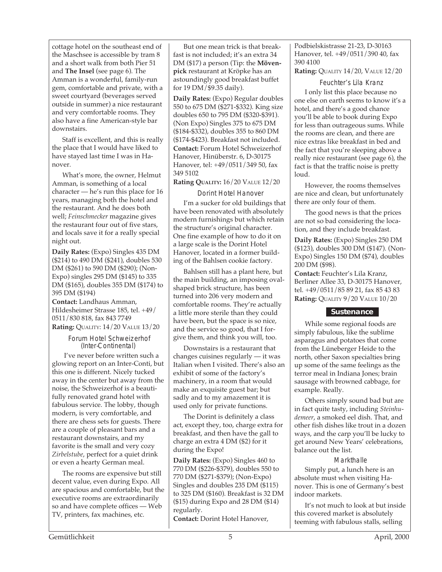cottage hotel on the southeast end of the Maschsee is accessible by tram 8 and a short walk from both Pier 51 and **The Insel** (see page 6). The Amman is a wonderful, family-run gem, comfortable and private, with a sweet courtyard (beverages served outside in summer) a nice restaurant and very comfortable rooms. They also have a fine American-style bar downstairs.

Staff is excellent, and this is really the place that I would have liked to have stayed last time I was in Hanover.

What's more, the owner, Helmut Amman, is something of a local character — he's run this place for 16 years, managing both the hotel and the restaurant. And he does both well; *Feinschmecker* magazine gives the restaurant four out of five stars, and locals save it for a really special night out.

**Daily Rates:** (Expo) Singles 435 DM (\$214) to 490 DM (\$241), doubles 530 DM (\$261) to 590 DM (\$290); (Non-Expo) singles 295 DM (\$145) to 335 DM (\$165), doubles 355 DM (\$174) to 395 DM (\$194)

**Contact:** Landhaus Amman, Hildesheimer Strasse 185, tel. +49/ 0511/830 818, fax 843 7749 **Rating:** QUALITY: 14/20 VALUE 13/20

> Forum Hotel Schweizerhof (Inter-Continental)

 I've never before written such a glowing report on an Inter-Conti, but this one is different. Nicely tucked away in the center but away from the noise, the Schweizerhof is a beautifully renovated grand hotel with fabulous service. The lobby, though modern, is very comfortable, and there are chess sets for guests. There are a couple of pleasant bars and a restaurant downstairs, and my favorite is the small and very cozy *Zirbelstube*, perfect for a quiet drink or even a hearty German meal.

The rooms are expensive but still decent value, even during Expo. All are spacious and comfortable, but the executive rooms are extraordinarily so and have complete offices — Web TV, printers, fax machines, etc.

But one mean trick is that breakfast is not included; it's an extra 34 DM (\$17) a person (Tip: the **Mövenpick** restaurant at Kröpke has an astoundingly good breakfast buffet for 19 DM/\$9.35 daily).

**Daily Rates:** (Expo) Regular doubles 550 to 675 DM (\$271-\$332). King size doubles 650 to 795 DM (\$320-\$391). (Non Expo) Singles 375 to 675 DM (\$184-\$332), doubles 355 to 860 DM (\$174-\$423). Breakfast not included. **Contact:** Forum Hotel Schweizerhof Hanover, Hinüberstr. 6, D-30175 Hanover, tel: +49/0511/349 50, fax 349 5102

**Rating QUALITY:** 16/20 VALUE 12/20

 Dorint Hotel Hanover I'm a sucker for old buildings that have been renovated with absolutely modern furnishings but which retain the structure's original character. One fine example of how to do it on a large scale is the Dorint Hotel Hanover, located in a former building of the Bahlsen cookie factory.

Bahlsen still has a plant here, but the main building, an imposing ovalshaped brick structure, has been turned into 206 very modern and comfortable rooms. They're actually a little more sterile than they could have been, but the space is so nice, and the service so good, that I forgive them, and think you will, too.

Downstairs is a restaurant that changes cuisines regularly — it was Italian when I visited. There's also an exhibit of some of the factory's machinery, in a room that would make an exquisite guest bar; but sadly and to my amazement it is used only for private functions.

The Dorint is definitely a class act, except they, too, charge extra for breakfast, and then have the gall to charge an extra 4 DM (\$2) for it during the Expo!

**Daily Rates:** (Expo) Singles 460 to 770 DM (\$226-\$379), doubles 550 to 770 DM (\$271-\$379); (Non-Expo) Singles and doubles 235 DM (\$115) to 325 DM (\$160). Breakfast is 32 DM (\$15) during Expo and 28 DM (\$14) regularly. **Contact:** Dorint Hotel Hanover,

Podbielskistrasse 21-23, D-30163 Hanover, tel. +49/0511/390 40, fax 390 4100

**Rating:** QUALITY 14/20, VALUE 12/20

Feuchter's Lila Kranz

I only list this place because no one else on earth seems to know it's a hotel, and there's a good chance you'll be able to book during Expo for less than outrageous sums. While the rooms are clean, and there are nice extras like breakfast in bed and the fact that you're sleeping above a really nice restaurant (see page 6), the fact is that the traffic noise is pretty loud.

However, the rooms themselves are nice and clean, but unfortunately there are only four of them.

The good news is that the prices are not so bad considering the location, and they include breakfast.

**Daily Rates:** (Expo) Singles 250 DM (\$123), doubles 300 DM (\$147). (Non-Expo) Singles 150 DM (\$74), doubles 200 DM (\$98).

**Contact:** Feuchter's Lila Kranz, Berliner Allee 33, D-30175 Hanover, tel. +49/0511/85 89 21, fax 85 43 83 **Rating:** QUALITY 9/20 VALUE 10/20

#### **Sustenance**

While some regional foods are simply fabulous, like the sublime asparagus and potatoes that come from the Lüneberger Heide to the north, other Saxon specialties bring up some of the same feelings as the terror meal in Indiana Jones; brain sausage with browned cabbage, for example. Really.

Others simply sound bad but are in fact quite tasty, including *Steinhudemeer*, a smoked eel dish. That, and other fish dishes like trout in a dozen ways, and the carp you'll be lucky to get around New Years' celebrations, balance out the list.

#### **Markthalle**

Simply put, a lunch here is an absolute must when visiting Hanover. This is one of Germany's best indoor markets.

It's not much to look at but inside this covered market is absolutely teeming with fabulous stalls, selling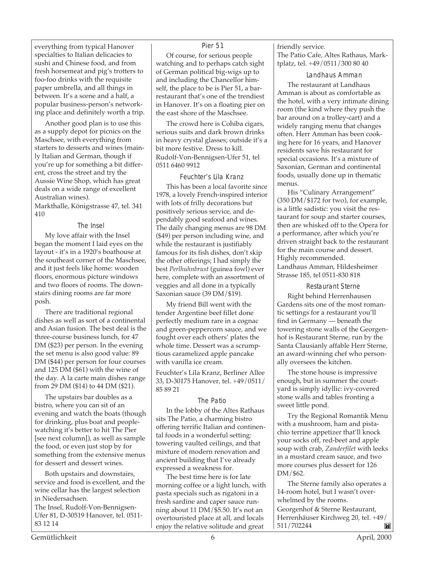everything from typical Hanover specialties to Italian delicacies to sushi and Chinese food, and from fresh horsemeat and pig's trotters to foo-foo drinks with the requisite paper umbrella, and all things in between. It's a scene and a half, a popular business-person's networking place and definitely worth a trip.

Another good plan is to use this as a supply depot for picnics on the Maschsee, with everything from starters to desserts and wines (mainly Italian and German, though if you're up for something a bit different, cross the street and try the Aussie Wine Shop, which has great deals on a wide range of excellent Australian wines).

Markthalle, Königstrasse 47, tel. 341 410

#### The Insel

My love affair with the Insel began the moment I laid eyes on the layout - it's in a 1920's boathouse at the southeast corner of the Maschsee, and it just feels like home: wooden floors, enormous picture windows and two floors of rooms. The downstairs dining rooms are far more posh.

There are traditional regional dishes as well as sort of a continental and Asian fusion. The best deal is the three-course business lunch, for 47 DM (\$23) per person. In the evening the set menu is also good value: 89 DM (\$44) per person for four courses and 125 DM (\$61) with the wine of the day. A la carte main dishes range from 29 DM (\$14) to 44 DM (\$21).

The upstairs bar doubles as a bistro, where you can sit of an evening and watch the boats (though for drinking, plus boat and peoplewatching it's better to hit The Pier [see next column]), as well as sample the food, or even just stop by for something from the extensive menus for dessert and dessert wines.

Both upstairs and downstairs, service and food is excellent, and the wine cellar has the largest selection in Niedersachsen.

The Insel, Rudolf-Von-Bennigsen-Ufer 81, D-30519 Hanover, tel. 0511- 83 12 14

#### Pier 51

Of course, for serious people watching and to perhaps catch sight of German political big-wigs up to and including the Chancellor himself, the place to be is Pier 51, a barrestaurant that's one of the trendiest in Hanover. It's on a floating pier on the east shore of the Maschsee.

The crowd here is Cohiba cigars, serious suits and dark brown drinks in heavy crystal glasses; outside it's a bit more festive. Dress to kill. Rudolf-Von-Bennigsen-Ufer 51, tel 0511 6460 9912

#### Feuchter's Lila Kranz

This has been a local favorite since 1978, a lovely French-inspired interior with lots of frilly decorations but positively serious service, and dependably good seafood and wines. The daily changing menus are 98 DM (\$49) per person including wine, and while the restaurant is justifiably famous for its fish dishes, don't skip the other offerings; I had simply the best *Perlhuhnbrust* (guinea fowl) ever here, complete with an assortment of veggies and all done in a typically Saxonian sauce (39 DM/\$19).

My friend Bill went with the tender Argentine beef fillet done perfectly medium rare in a cognac and green-peppercorn sauce, and we fought over each others' plates the whole time. Dessert was a scrumptious caramelized apple pancake with vanilla ice cream.

Feuchter's Lila Kranz, Berliner Allee 33, D-30175 Hanover, tel. +49/0511/ 85 89 21

#### The Patio

In the lobby of the Altes Rathaus sits The Patio, a charming bistro offering terrific Italian and continental foods in a wonderful setting: towering vaulted ceilings, and that mixture of modern renovation and ancient building that I've already expressed a weakness for.

The best time here is for late morning coffee or a light lunch, with pasta specials such as rigatoni in a fresh sardine and caper sauce running about 11 DM/\$5.50. It's not an overtouristed place at all, and locals enjoy the relative solitude and great

friendly service. The Patio Cafe, Altes Rathaus, Marktplatz, tel. +49/0511/300 80 40

#### Landhaus Amman

The restaurant at Landhaus Amman is about as comfortable as the hotel, with a very intimate dining room (the kind where they push the bar around on a trolley-cart) and a widely ranging menu that changes often. Herr Amman has been cooking here for 16 years, and Hanover residents save his restaurant for special occasions. It's a mixture of Saxonian, German and continental foods, usually done up in thematic menus.

His "Culinary Arrangement" (350 DM/\$172 for two), for example, is a little sadistic: you visit the restaurant for soup and starter courses, then are whisked off to the Opera for a performance, after which you're driven straight back to the restaurant for the main course and dessert. Highly recommended. Landhaus Amman, Hildesheimer Strasse 185, tel 0511-830 818

Restaurant Sterne Right behind Herrenhausen Gardens sits one of the most romantic settings for a restaurant you'll find in Germany — beneath the towering stone walls of the Georgenhof is Restaurant Sterne, run by the Santa Clausianly affable Herr Sterne, an award-winning chef who personally oversees the kitchen.

The stone house is impressive enough, but in summer the courtyard is simply idyllic: ivy-covered stone walls and tables fronting a sweet little pond.

Try the Regional Romantik Menu with a mushroom, ham and pistachio terrine appetizer that'll knock your socks off, red-beet and apple soup with crab, *Zanderfilet* with leeks in a mustard cream sauce, and two more courses plus dessert for 126 DM/\$62.

The Sterne family also operates a 14-room hotel, but I wasn't overwhelmed by the rooms.

Georgenhof & Sterne Restaurant, Herrenhäuser Kirchweg 20, tel. +49/ 511/702244M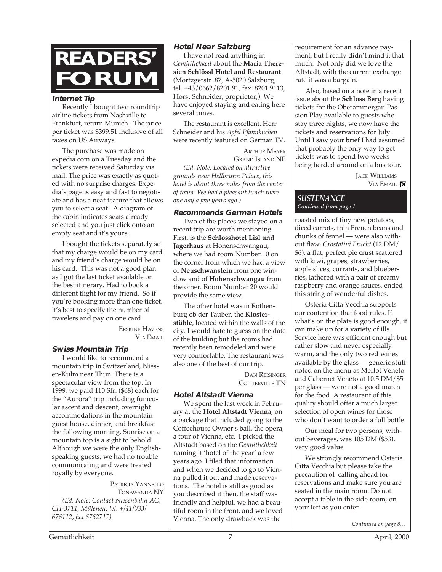

#### **Internet Tip**

Recently I bought two roundtrip airline tickets from Nashville to Frankfurt, return Munich. The price per ticket was \$399.51 inclusive of all taxes on US Airways.

The purchase was made on expedia.com on a Tuesday and the tickets were received Saturday via mail. The price was exactly as quoted with no surprise charges. Expedia's page is easy and fast to negotiate and has a neat feature that allows you to select a seat. A diagram of the cabin indicates seats already selected and you just click onto an empty seat and it's yours.

I bought the tickets separately so that my charge would be on my card and my friend's charge would be on his card. This was not a good plan as I got the last ticket available on the best itinerary. Had to book a different flight for my friend. So if you're booking more than one ticket, it's best to specify the number of travelers and pay on one card.

> ERSKINE HAVENS VIA EMAIL

#### **Swiss Mountain Trip**

I would like to recommend a mountain trip in Switzerland, Niesen-Kulm near Thun. There is a spectacular view from the top. In 1999, we paid 110 Sfr. (\$68) each for the "Aurora" trip including funicular ascent and descent, overnight accommodations in the mountain guest house, dinner, and breakfast the following morning. Sunrise on a mountain top is a sight to behold! Although we were the only Englishspeaking guests, we had no trouble communicating and were treated royally by everyone.

PATRICIA YANNELLO TONAWANDA NY *(Ed. Note: Contact Niesenbahn AG, CH-3711, Mülenen, tel. +/41/033/ 676112, fax 6762717)*

#### **Hotel Near Salzburg**

I have not read anything in *Gemütlichkeit* about the **Maria Theresien Schlössl Hotel and Restaurant** (Mortzgerstr. 87, A-5020 Salzburg, tel. +43/0662/8201 91, fax 8201 9113, Horst Schneider, proprietor,). We have enjoyed staying and eating here several times.

The restaurant is excellent. Herr Schneider and his *Apfel Pfannkuchen* were recently featured on German TV.

> ARTHUR MAYER GRAND ISLAND NE

*(Ed. Note: Located on attractive grounds near Hellbrunn Palace, this hotel is about three miles from the center of town. We had a pleasant lunch there one day a few years ago.)*

#### **Recommends German Hotels**

Two of the places we stayed on a recent trip are worth mentioning. First, is the **Schlosshotel Lisl und Jagerhaus** at Hohenschwangau, where we had room Number 10 on the corner from which we had a view of **Neuschwanstein** from one window and of **Hohenschwangau** from the other. Room Number 20 would provide the same view.

The other hotel was in Rothenburg ob der Tauber, the **Klosterstüble**, located within the walls of the city. I would hate to guess on the date of the building but the rooms had recently been remodeled and were very comfortable. The restaurant was also one of the best of our trip.

> DAN REISINGER COLLIERVILLE TN

#### **Hotel Altstadt Vienna**

We spent the last week in February at the **Hotel Altstadt Vienna**, on a package that included going to the Coffeehouse Owner's ball, the opera, a tour of Vienna, etc. I picked the Altstadt based on the *Gemütlichkeit* naming it 'hotel of the year' a few years ago. I filed that information and when we decided to go to Vienna pulled it out and made reservations. The hotel is still as good as you described it then, the staff was friendly and helpful, we had a beautiful room in the front, and we loved Vienna. The only drawback was the

requirement for an advance payment, but I really didn't mind it that much. Not only did we love the Altstadt, with the current exchange rate it was a bargain.

Also, based on a note in a recent issue about the **Schloss Berg** having tickets for the Oberammergau Passion Play available to guests who stay three nights, we now have the tickets and reservations for July. Until I saw your brief I had assumed that probably the only way to get tickets was to spend two weeks being herded around on a bus tour.

> JACK WILLIAMS VIA EMAIL

#### *SUSTENANCE Continued from page 1*

roasted mix of tiny new potatoes, diced carrots, thin French beans and chunks of fennel — were also without flaw. *Crostatini Frucht* (12 DM/ \$6), a flat, perfect pie crust scattered with kiwi, grapes, strawberries, apple slices, currants, and blueberries, lathered with a pair of creamy raspberry and orange sauces, ended this string of wonderful dishes.

Osteria Citta Vecchia supports our contention that food rules. If what's on the plate is good enough, it can make up for a variety of ills. Service here was efficient enough but rather slow and never especially warm, and the only two red wines available by the glass — generic stuff noted on the menu as Merlot Veneto and Cabernet Veneto at 10.5 DM/\$5 per glass — were not a good match for the food. A restaurant of this quality should offer a much larger selection of open wines for those who don't want to order a full bottle.

Our meal for two persons, without beverages, was 105 DM (\$53), very good value

We strongly recommend Osteria Citta Vecchia but please take the precaution of calling ahead for reservations and make sure you are seated in the main room. Do not accept a table in the side room, on your left as you enter.

*Continued on page 8…*